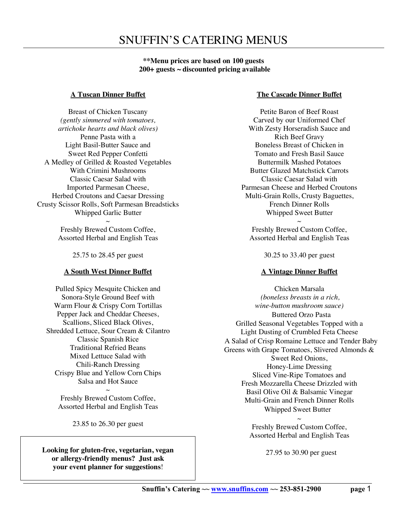**\*\*Menu prices are based on 100 guests 200+ guests ~ discounted pricing available**

### **A Tuscan Dinner Buffet**

Breast of Chicken Tuscany *(gently simmered with tomatoes, artichoke hearts and black olives)* Penne Pasta with a Light Basil-Butter Sauce and Sweet Red Pepper Confetti A Medley of Grilled & Roasted Vegetables With Crimini Mushrooms Classic Caesar Salad with Imported Parmesan Cheese, Herbed Croutons and Caesar Dressing Crusty Scissor Rolls, Soft Parmesan Breadsticks Whipped Garlic Butter

> $\sim$ Freshly Brewed Custom Coffee, Assorted Herbal and English Teas

> > 25.75 to 28.45 per guest

### **A South West Dinner Buffet**

Pulled Spicy Mesquite Chicken and Sonora-Style Ground Beef with Warm Flour & Crispy Corn Tortillas Pepper Jack and Cheddar Cheeses, Scallions, Sliced Black Olives, Shredded Lettuce, Sour Cream & Cilantro Classic Spanish Rice Traditional Refried Beans Mixed Lettuce Salad with Chili-Ranch Dressing Crispy Blue and Yellow Corn Chips Salsa and Hot Sauce

 $\sim$ Freshly Brewed Custom Coffee, Assorted Herbal and English Teas

23.85 to 26.30 per guest

**Looking for gluten-free, vegetarian, vegan or allergy-friendly menus? Just ask your event planner for suggestions**!

### **The Cascade Dinner Buffet**

Petite Baron of Beef Roast Carved by our Uniformed Chef With Zesty Horseradish Sauce and Rich Beef Gravy Boneless Breast of Chicken in Tomato and Fresh Basil Sauce Buttermilk Mashed Potatoes Butter Glazed Matchstick Carrots Classic Caesar Salad with Parmesan Cheese and Herbed Croutons Multi-Grain Rolls, Crusty Baguettes, French Dinner Rolls Whipped Sweet Butter

 $\sim$ Freshly Brewed Custom Coffee, Assorted Herbal and English Teas

30.25 to 33.40 per guest

## **A Vintage Dinner Buffet**

Chicken Marsala *(boneless breasts in a rich, wine-button mushroom sauce)* Buttered Orzo Pasta Grilled Seasonal Vegetables Topped with a Light Dusting of Crumbled Feta Cheese A Salad of Crisp Romaine Lettuce and Tender Baby Greens with Grape Tomatoes, Slivered Almonds & Sweet Red Onions, Honey-Lime Dressing Sliced Vine-Ripe Tomatoes and Fresh Mozzarella Cheese Drizzled with Basil Olive Oil & Balsamic Vinegar Multi-Grain and French Dinner Rolls Whipped Sweet Butter

> $\sim$ Freshly Brewed Custom Coffee, Assorted Herbal and English Teas

> > 27.95 to 30.90 per guest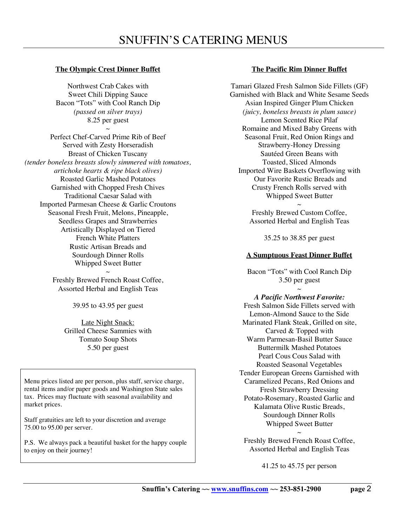## **The Olympic Crest Dinner Buffet**

Northwest Crab Cakes with Sweet Chili Dipping Sauce Bacon "Tots" with Cool Ranch Dip *(passed on silver trays)* 8.25 per guest  $\sim$ 

Perfect Chef-Carved Prime Rib of Beef Served with Zesty Horseradish Breast of Chicken Tuscany *(tender boneless breasts slowly simmered with tomatoes, artichoke hearts & ripe black olives)* Roasted Garlic Mashed Potatoes Garnished with Chopped Fresh Chives Traditional Caesar Salad with Imported Parmesan Cheese & Garlic Croutons Seasonal Fresh Fruit, Melons, Pineapple, Seedless Grapes and Strawberries Artistically Displayed on Tiered French White Platters Rustic Artisan Breads and Sourdough Dinner Rolls Whipped Sweet Butter

> $\sim$ Freshly Brewed French Roast Coffee, Assorted Herbal and English Teas

> > 39.95 to 43.95 per guest

Late Night Snack: Grilled Cheese Sammies with Tomato Soup Shots 5.50 per guest

Menu prices listed are per person, plus staff, service charge, rental items and/or paper goods and Washington State sales tax. Prices may fluctuate with seasonal availability and market prices.

Staff gratuities are left to your discretion and average 75.00 to 95.00 per server.

P.S. We always pack a beautiful basket for the happy couple to enjoy on their journey!

## **The Pacific Rim Dinner Buffet**

Tamari Glazed Fresh Salmon Side Fillets (GF) Garnished with Black and White Sesame Seeds Asian Inspired Ginger Plum Chicken *(juicy, boneless breasts in plum sauce)* Lemon Scented Rice Pilaf Romaine and Mixed Baby Greens with Seasonal Fruit, Red Onion Rings and Strawberry-Honey Dressing Sautéed Green Beans with Toasted, Sliced Almonds Imported Wire Baskets Overflowing with Our Favorite Rustic Breads and Crusty French Rolls served with Whipped Sweet Butter  $\sim$ 

Freshly Brewed Custom Coffee, Assorted Herbal and English Teas

35.25 to 38.85 per guest

# **A Sumptuous Feast Dinner Buffet**

Bacon "Tots" with Cool Ranch Dip 3.50 per guest  $\sim$ 

*A Pacific Northwest Favorite:* Fresh Salmon Side Fillets served with Lemon-Almond Sauce to the Side Marinated Flank Steak, Grilled on site, Carved & Topped with Warm Parmesan-Basil Butter Sauce Buttermilk Mashed Potatoes Pearl Cous Cous Salad with Roasted Seasonal Vegetables Tender European Greens Garnished with Caramelized Pecans, Red Onions and Fresh Strawberry Dressing Potato-Rosemary, Roasted Garlic and Kalamata Olive Rustic Breads, Sourdough Dinner Rolls Whipped Sweet Butter  $\sim$ 

Freshly Brewed French Roast Coffee, Assorted Herbal and English Teas

41.25 to 45.75 per person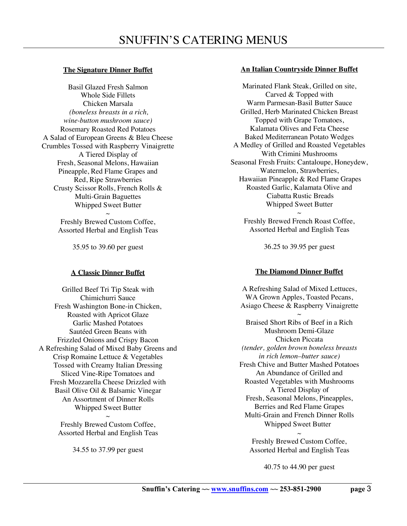### **The Signature Dinner Buffet**

Basil Glazed Fresh Salmon Whole Side Fillets Chicken Marsala *(boneless breasts in a rich, wine-button mushroom sauce)* Rosemary Roasted Red Potatoes A Salad of European Greens & Bleu Cheese Crumbles Tossed with Raspberry Vinaigrette A Tiered Display of Fresh, Seasonal Melons, Hawaiian Pineapple, Red Flame Grapes and Red, Ripe Strawberries Crusty Scissor Rolls, French Rolls & Multi-Grain Baguettes Whipped Sweet Butter  $\sim$ 

Freshly Brewed Custom Coffee, Assorted Herbal and English Teas

35.95 to 39.60 per guest

### **A Classic Dinner Buffet**

Grilled Beef Tri Tip Steak with Chimichurri Sauce Fresh Washington Bone-in Chicken, Roasted with Apricot Glaze Garlic Mashed Potatoes Sautéed Green Beans with Frizzled Onions and Crispy Bacon A Refreshing Salad of Mixed Baby Greens and Crisp Romaine Lettuce & Vegetables Tossed with Creamy Italian Dressing Sliced Vine-Ripe Tomatoes and Fresh Mozzarella Cheese Drizzled with Basil Olive Oil & Balsamic Vinegar An Assortment of Dinner Rolls Whipped Sweet Butter  $\sim$ 

Freshly Brewed Custom Coffee, Assorted Herbal and English Teas

34.55 to 37.99 per guest

### **An Italian Countryside Dinner Buffet**

Marinated Flank Steak, Grilled on site, Carved & Topped with Warm Parmesan-Basil Butter Sauce Grilled, Herb Marinated Chicken Breast Topped with Grape Tomatoes, Kalamata Olives and Feta Cheese Baked Mediterranean Potato Wedges A Medley of Grilled and Roasted Vegetables With Crimini Mushrooms Seasonal Fresh Fruits: Cantaloupe, Honeydew, Watermelon, Strawberries, Hawaiian Pineapple & Red Flame Grapes Roasted Garlic, Kalamata Olive and Ciabatta Rustic Breads Whipped Sweet Butter  $\sim$ 

Freshly Brewed French Roast Coffee, Assorted Herbal and English Teas

36.25 to 39.95 per guest

## **The Diamond Dinner Buffet**

A Refreshing Salad of Mixed Lettuces, WA Grown Apples, Toasted Pecans, Asiago Cheese & Raspberry Vinaigrette  $\sim$ Braised Short Ribs of Beef in a Rich Mushroom Demi-Glaze Chicken Piccata *(tender, golden brown boneless breasts in rich lemon–butter sauce)* Fresh Chive and Butter Mashed Potatoes An Abundance of Grilled and Roasted Vegetables with Mushrooms A Tiered Display of Fresh, Seasonal Melons, Pineapples, Berries and Red Flame Grapes Multi-Grain and French Dinner Rolls Whipped Sweet Butter  $\sim$ 

Freshly Brewed Custom Coffee, Assorted Herbal and English Teas

40.75 to 44.90 per guest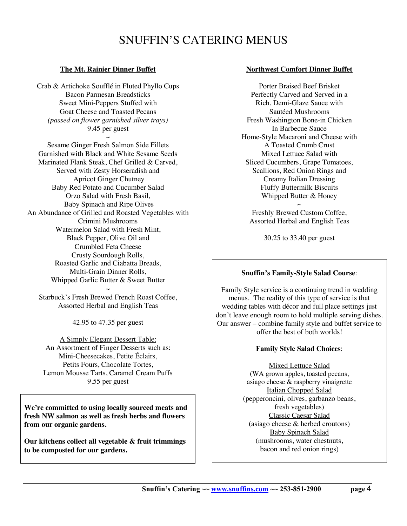## **The Mt. Rainier Dinner Buffet**

Crab & Artichoke Soufflé in Fluted Phyllo Cups Bacon Parmesan Breadsticks Sweet Mini-Peppers Stuffed with Goat Cheese and Toasted Pecans *(passed on flower garnished silver trays)*  9.45 per guest  $\sim$ 

Sesame Ginger Fresh Salmon Side Fillets Garnished with Black and White Sesame Seeds Marinated Flank Steak, Chef Grilled & Carved, Served with Zesty Horseradish and Apricot Ginger Chutney Baby Red Potato and Cucumber Salad Orzo Salad with Fresh Basil, Baby Spinach and Ripe Olives An Abundance of Grilled and Roasted Vegetables with Crimini Mushrooms Watermelon Salad with Fresh Mint, Black Pepper, Olive Oil and Crumbled Feta Cheese Crusty Sourdough Rolls, Roasted Garlic and Ciabatta Breads, Multi-Grain Dinner Rolls, Whipped Garlic Butter & Sweet Butter

 $\sim$ Starbuck's Fresh Brewed French Roast Coffee, Assorted Herbal and English Teas

42.95 to 47.35 per guest

A Simply Elegant Dessert Table: An Assortment of Finger Desserts such as: Mini-Cheesecakes, Petite Éclairs, Petits Fours, Chocolate Tortes, Lemon Mousse Tarts, Caramel Cream Puffs 9.55 per guest

**We're committed to using locally sourced meats and fresh NW salmon as well as fresh herbs and flowers from our organic gardens.**

**Our kitchens collect all vegetable & fruit trimmings to be composted for our gardens.**

### **Northwest Comfort Dinner Buffet**

Porter Braised Beef Brisket Perfectly Carved and Served in a Rich, Demi-Glaze Sauce with Sautéed Mushrooms Fresh Washington Bone-in Chicken In Barbecue Sauce Home-Style Macaroni and Cheese with A Toasted Crumb Crust Mixed Lettuce Salad with Sliced Cucumbers, Grape Tomatoes, Scallions, Red Onion Rings and Creamy Italian Dressing Fluffy Buttermilk Biscuits Whipped Butter & Honey

 $\sim$ Freshly Brewed Custom Coffee, Assorted Herbal and English Teas

30.25 to 33.40 per guest

### **Snuffin's Family-Style Salad Course**:

Family Style service is a continuing trend in wedding menus. The reality of this type of service is that wedding tables with décor and full place settings just don't leave enough room to hold multiple serving dishes. Our answer – combine family style and buffet service to offer the best of both worlds!

### **Family Style Salad Choices**:

Mixed Lettuce Salad (WA grown apples, toasted pecans, asiago cheese & raspberry vinaigrette Italian Chopped Salad (pepperoncini, olives, garbanzo beans, fresh vegetables) Classic Caesar Salad (asiago cheese & herbed croutons) Baby Spinach Salad (mushrooms, water chestnuts, bacon and red onion rings)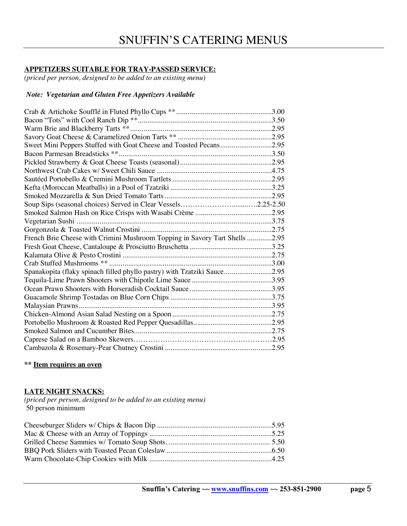# **APPETIZERS SUITABLE FOR TRAY-PASSED SERVICE:**

*(priced per person, designed to be added to an existing menu)*

### *Note: Vegetarian and Gluten Free Appetizers Available*

| Sweet Mini Peppers Stuffed with Goat Cheese and Toasted Pecans2.95                                              |  |
|-----------------------------------------------------------------------------------------------------------------|--|
|                                                                                                                 |  |
|                                                                                                                 |  |
|                                                                                                                 |  |
|                                                                                                                 |  |
|                                                                                                                 |  |
|                                                                                                                 |  |
|                                                                                                                 |  |
|                                                                                                                 |  |
| 75. Superintending and the University of the University of the University of the University of the University O |  |
|                                                                                                                 |  |
| French Brie Cheese with Crimini Mushroom Topping in Savory Tart Shells 2.95                                     |  |
|                                                                                                                 |  |
|                                                                                                                 |  |
|                                                                                                                 |  |
| Spanakopita (flaky spinach filled phyllo pastry) with Tzatziki Sauce2.95                                        |  |
|                                                                                                                 |  |
|                                                                                                                 |  |
|                                                                                                                 |  |
| Malaysian Prawns                                                                                                |  |
|                                                                                                                 |  |
|                                                                                                                 |  |
|                                                                                                                 |  |
|                                                                                                                 |  |
|                                                                                                                 |  |

**\*\* Item requires an oven**

### **LATE NIGHT SNACKS:**

*(priced per person, designed to be added to an existing menu)* 50 person minimum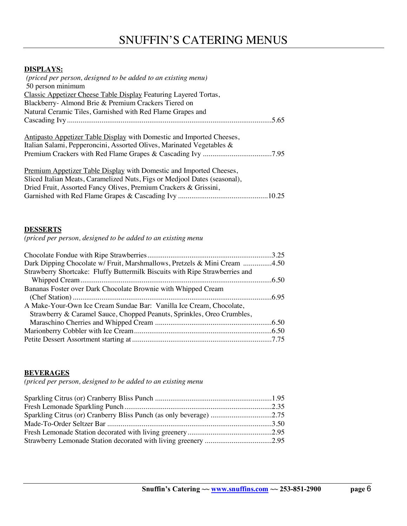### **DISPLAYS:**

| (priced per person, designed to be added to an existing menu)             |
|---------------------------------------------------------------------------|
| 50 person minimum                                                         |
| Classic Appetizer Cheese Table Display Featuring Layered Tortas,          |
| Blackberry- Almond Brie & Premium Crackers Tiered on                      |
| Natural Ceramic Tiles, Garnished with Red Flame Grapes and                |
| .5.65                                                                     |
|                                                                           |
| Antipasto Appetizer Table Display with Domestic and Imported Cheeses,     |
| Italian Salami, Pepperoncini, Assorted Olives, Marinated Vegetables &     |
|                                                                           |
|                                                                           |
| Premium Appetizer Table Display with Domestic and Imported Cheeses,       |
| Sliced Italian Meats, Caramelized Nuts, Figs or Medjool Dates (seasonal), |
| Dried Fruit, Assorted Fancy Olives, Premium Crackers & Grissini,          |
|                                                                           |

### **DESSERTS**

*(priced per person, designed to be added to an existing menu*

| Dark Dipping Chocolate w/ Fruit, Marshmallows, Pretzels & Mini Cream 4.50   |  |
|-----------------------------------------------------------------------------|--|
| Strawberry Shortcake: Fluffy Buttermilk Biscuits with Ripe Strawberries and |  |
|                                                                             |  |
| Bananas Foster over Dark Chocolate Brownie with Whipped Cream               |  |
|                                                                             |  |
| A Make-Your-Own Ice Cream Sundae Bar: Vanilla Ice Cream, Chocolate,         |  |
| Strawberry & Caramel Sauce, Chopped Peanuts, Sprinkles, Oreo Crumbles,      |  |
|                                                                             |  |
|                                                                             |  |
|                                                                             |  |

### **BEVERAGES**

*(priced per person, designed to be added to an existing menu*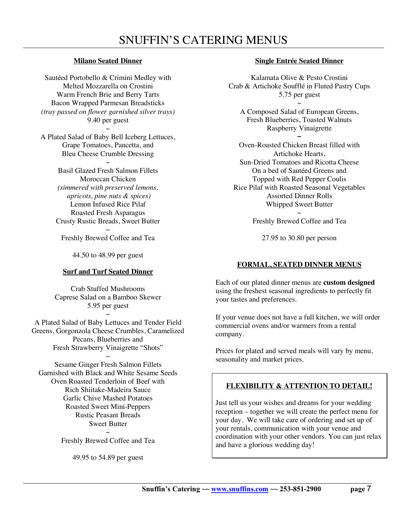# **Milano Seated Dinner**

Sautéed Portobello & Crimini Medley with Melted Mozzarella on Crostini Warm French Brie and Berry Tarts Bacon Wrapped Parmesan Breadsticks *(tray passed on flower garnished silver trays)* 9.40 per guest

 $\sim$ A Plated Salad of Baby Bell Iceberg Lettuces, Grape Tomatoes, Pancetta, and Bleu Cheese Crumble Dressing

> $\sim$ Basil Glazed Fresh Salmon Fillets Moroccan Chicken *(simmered with preserved lemons, apricots, pine nuts & spices)* Lemon Infused Rice Pilaf Roasted Fresh Asparagus Crusty Rustic Breads, Sweet Butter  $\sim$

Freshly Brewed Coffee and Tea

44.50 to 48.99 per guest

## **Surf and Turf Seated Dinner**

Crab Stuffed Mushrooms Caprese Salad on a Bamboo Skewer 5.95 per guest

 $\sim$ A Plated Salad of Baby Lettuces and Tender Field Greens, Gorgonzola Cheese Crumbles, Caramelized Pecans, Blueberries and Fresh Strawberry Vinaigrette "Shots"

 $\sim$ Sesame Ginger Fresh Salmon Fillets Garnished with Black and White Sesame Seeds Oven Roasted Tenderloin of Beef with Rich Shiitake-Madeira Sauce Garlic Chive Mashed Potatoes Roasted Sweet Mini-Peppers Rustic Peasant Breads Sweet Butter  $\sim$ 

Freshly Brewed Coffee and Tea

49.95 to 54.89 per guest

## **Single Entrée Seated Dinner**

Kalamata Olive & Pesto Crostini Crab & Artichoke Soufflé in Fluted Pastry Cups 5.75 per guest

 $\sim$ A Composed Salad of European Greens, Fresh Blueberries, Toasted Walnuts Raspberry Vinaigrette ~

Oven-Roasted Chicken Breast filled with Artichoke Hearts, Sun-Dried Tomatoes and Ricotta Cheese On a bed of Sautéed Greens and Topped with Red Pepper Coulis Rice Pilaf with Roasted Seasonal Vegetables Assorted Dinner Rolls Whipped Sweet Butter  $\sim$ 

Freshly Brewed Coffee and Tea

27.95 to 30.80 per person

# **FORMAL, SEATED DINNER MENUS**

Each of our plated dinner menus are **custom designed** using the freshest seasonal ingredients to perfectly fit your tastes and preferences.

If your venue does not have a full kitchen, we will order commercial ovens and/or warmers from a rental company.

Prices for plated and served meals will vary by menu, seasonality and market prices.

# **FLEXIBILITY & ATTENTION TO DETAIL!**

Just tell us your wishes and dreams for your wedding reception – together we will create the perfect menu for your day. We will take care of ordering and set up of your rentals, communication with your venue and coordination with your other vendors. You can just relax and have a glorious wedding day!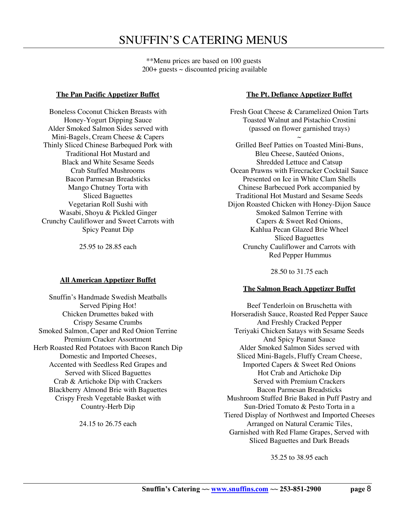\*\*Menu prices are based on 100 guests  $200+$  guests  $\sim$  discounted pricing available

### **The Pan Pacific Appetizer Buffet**

Boneless Coconut Chicken Breasts with Honey-Yogurt Dipping Sauce Alder Smoked Salmon Sides served with Mini-Bagels, Cream Cheese & Capers Thinly Sliced Chinese Barbequed Pork with Traditional Hot Mustard and Black and White Sesame Seeds Crab Stuffed Mushrooms Bacon Parmesan Breadsticks Mango Chutney Torta with Sliced Baguettes Vegetarian Roll Sushi with Wasabi, Shoyu & Pickled Ginger Crunchy Cauliflower and Sweet Carrots with Spicy Peanut Dip

25.95 to 28.85 each

## **All American Appetizer Buffet**

Snuffin's Handmade Swedish Meatballs Served Piping Hot! Chicken Drumettes baked with Crispy Sesame Crumbs Smoked Salmon, Caper and Red Onion Terrine Premium Cracker Assortment Herb Roasted Red Potatoes with Bacon Ranch Dip Domestic and Imported Cheeses, Accented with Seedless Red Grapes and Served with Sliced Baguettes Crab & Artichoke Dip with Crackers Blackberry Almond Brie with Baguettes Crispy Fresh Vegetable Basket with Country-Herb Dip

24.15 to 26.75 each

### **The Pt. Defiance Appetizer Buffet**

Fresh Goat Cheese & Caramelized Onion Tarts Toasted Walnut and Pistachio Crostini (passed on flower garnished trays)

 $\sim$ Grilled Beef Patties on Toasted Mini-Buns, Bleu Cheese, Sautéed Onions, Shredded Lettuce and Catsup Ocean Prawns with Firecracker Cocktail Sauce Presented on Ice in White Clam Shells Chinese Barbecued Pork accompanied by Traditional Hot Mustard and Sesame Seeds Dijon Roasted Chicken with Honey-Dijon Sauce Smoked Salmon Terrine with Capers & Sweet Red Onions, Kahlua Pecan Glazed Brie Wheel Sliced Baguettes Crunchy Cauliflower and Carrots with Red Pepper Hummus

28.50 to 31.75 each

## **The Salmon Beach Appetizer Buffet**

Beef Tenderloin on Bruschetta with Horseradish Sauce, Roasted Red Pepper Sauce And Freshly Cracked Pepper Teriyaki Chicken Satays with Sesame Seeds And Spicy Peanut Sauce Alder Smoked Salmon Sides served with Sliced Mini-Bagels, Fluffy Cream Cheese, Imported Capers & Sweet Red Onions Hot Crab and Artichoke Dip Served with Premium Crackers Bacon Parmesan Breadsticks Mushroom Stuffed Brie Baked in Puff Pastry and Sun-Dried Tomato & Pesto Torta in a Tiered Display of Northwest and Imported Cheeses Arranged on Natural Ceramic Tiles, Garnished with Red Flame Grapes, Served with Sliced Baguettes and Dark Breads

35.25 to 38.95 each